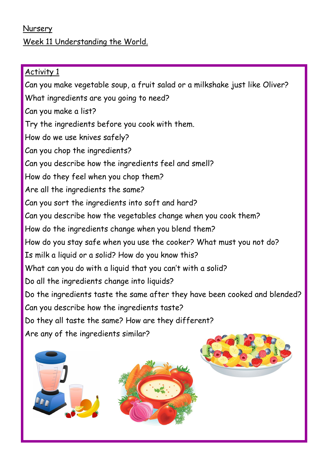## Nursery

## Week 11 Understanding the World.

Activity 1 Can you make vegetable soup, a fruit salad or a milkshake just like Oliver? What ingredients are you going to need? Can you make a list? Try the ingredients before you cook with them. How do we use knives safely? Can you chop the ingredients? Can you describe how the ingredients feel and smell? How do they feel when you chop them? Are all the ingredients the same? Can you sort the ingredients into soft and hard? Can you describe how the vegetables change when you cook them? How do the ingredients change when you blend them? How do you stay safe when you use the cooker? What must you not do? Is milk a liquid or a solid? How do you know this? What can you do with a liquid that you can't with a solid? Do all the ingredients change into liquids? Do the ingredients taste the same after they have been cooked and blended? Can you describe how the ingredients taste? Do they all taste the same? How are they different? Are any of the ingredients similar?